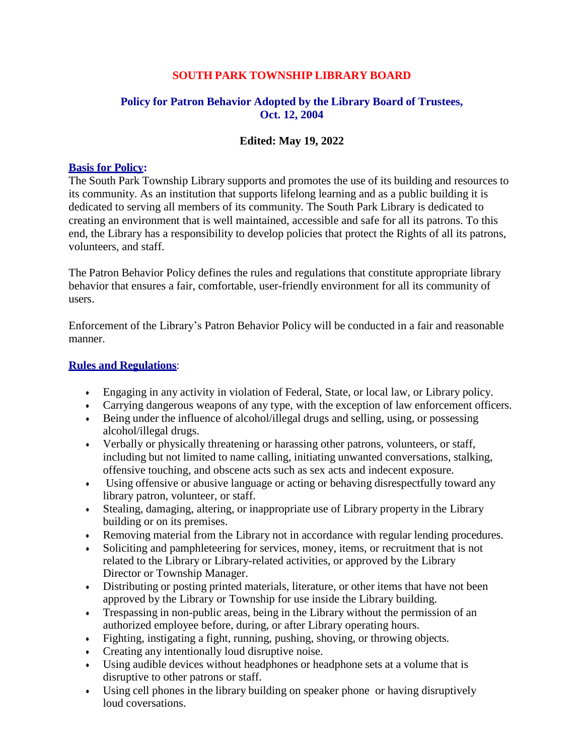## **SOUTH PARK TOWNSHIP LIBRARY BOARD**

## **Policy for Patron Behavior Adopted by the Library Board of Trustees, Oct. 12, 2004**

## **Edited: May 19, 2022**

#### **Basis for Policy:**

The South Park Township Library supports and promotes the use of its building and resources to its community. As an institution that supports lifelong learning and as a public building it is dedicated to serving all members of its community. The South Park Library is dedicated to creating an environment that is well maintained, accessible and safe for all its patrons. To this end, the Library has a responsibility to develop policies that protect the Rights of all its patrons, volunteers, and staff.

The Patron Behavior Policy defines the rules and regulations that constitute appropriate library behavior that ensures a fair, comfortable, user-friendly environment for all its community of users.

Enforcement of the Library's Patron Behavior Policy will be conducted in a fair and reasonable manner.

#### **Rules and Regulations**:

- Engaging in any activity in violation of Federal, State, or local law, or Library policy.
- Carrying dangerous weapons of any type, with the exception of law enforcement officers.
- Being under the influence of alcohol/illegal drugs and selling, using, or possessing alcohol/illegal drugs.
- Verbally or physically threatening or harassing other patrons, volunteers, or staff, including but not limited to name calling, initiating unwanted conversations, stalking, offensive touching, and obscene acts such as sex acts and indecent exposure.
- Using offensive or abusive language or acting or behaving disrespectfully toward any library patron, volunteer, or staff.
- Stealing, damaging, altering, or inappropriate use of Library property in the Library building or on its premises.
- Removing material from the Library not in accordance with regular lending procedures.
- Soliciting and pamphleteering for services, money, items, or recruitment that is not related to the Library or Library-related activities, or approved by the Library Director or Township Manager.
- Distributing or posting printed materials, literature, or other items that have not been approved by the Library or Township for use inside the Library building.
- Trespassing in non-public areas, being in the Library without the permission of an authorized employee before, during, or after Library operating hours.
- Fighting, instigating a fight, running, pushing, shoving, or throwing objects.
- Creating any intentionally loud disruptive noise.
- Using audible devices without headphones or headphone sets at a volume that is disruptive to other patrons or staff.
- Using cell phones in the library building on speaker phone or having disruptively loud coversations.